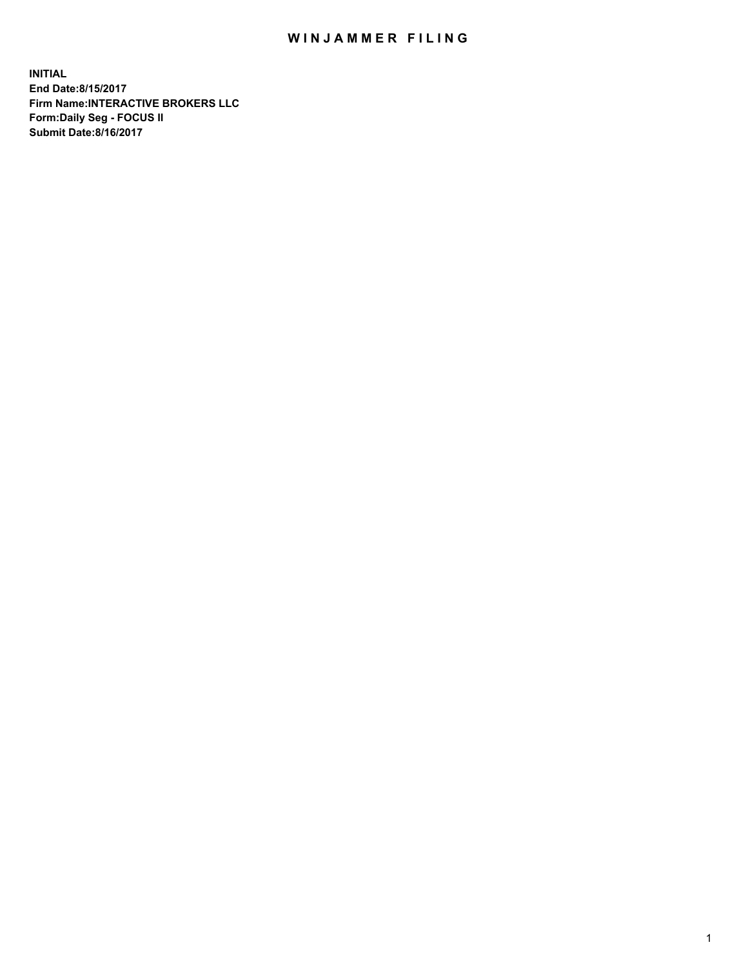## WIN JAMMER FILING

**INITIAL End Date:8/15/2017 Firm Name:INTERACTIVE BROKERS LLC Form:Daily Seg - FOCUS II Submit Date:8/16/2017**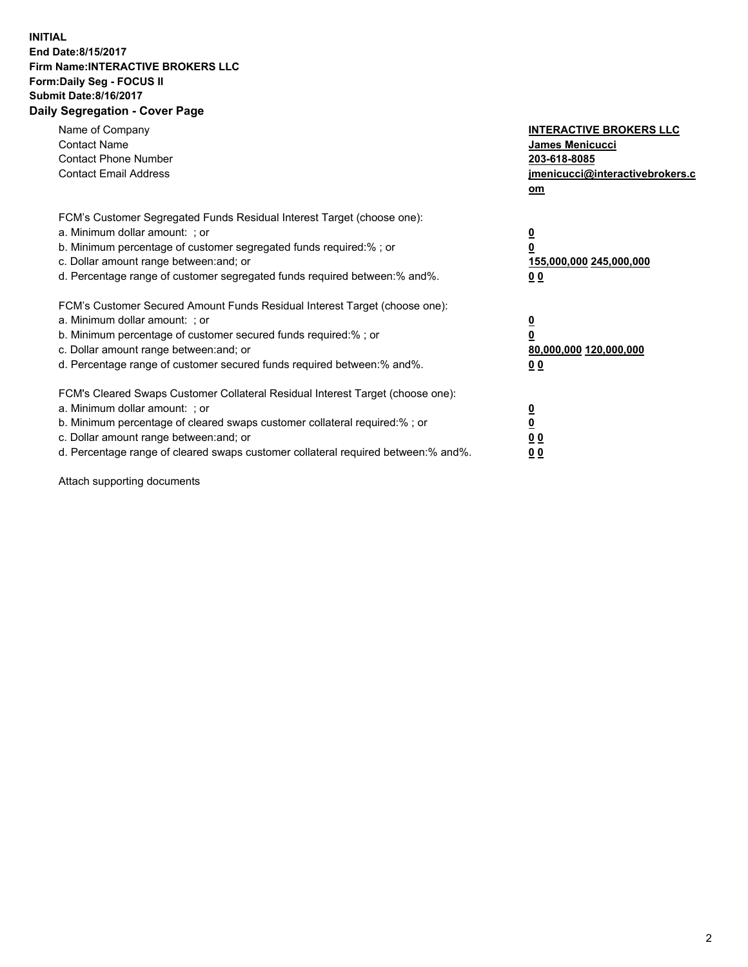## **INITIAL End Date:8/15/2017 Firm Name:INTERACTIVE BROKERS LLC Form:Daily Seg - FOCUS II Submit Date:8/16/2017 Daily Segregation - Cover Page**

| Name of Company<br><b>Contact Name</b><br><b>Contact Phone Number</b><br><b>Contact Email Address</b>                                                                                                                                                                                                                          | <b>INTERACTIVE BROKERS LLC</b><br>James Menicucci<br>203-618-8085<br>jmenicucci@interactivebrokers.c<br>om |
|--------------------------------------------------------------------------------------------------------------------------------------------------------------------------------------------------------------------------------------------------------------------------------------------------------------------------------|------------------------------------------------------------------------------------------------------------|
| FCM's Customer Segregated Funds Residual Interest Target (choose one):<br>a. Minimum dollar amount: ; or<br>b. Minimum percentage of customer segregated funds required:%; or<br>c. Dollar amount range between: and; or<br>d. Percentage range of customer segregated funds required between:% and%.                          | $\overline{\mathbf{0}}$<br>0<br>155,000,000 245,000,000<br>0 <sub>0</sub>                                  |
| FCM's Customer Secured Amount Funds Residual Interest Target (choose one):<br>a. Minimum dollar amount: ; or<br>b. Minimum percentage of customer secured funds required:%; or<br>c. Dollar amount range between: and; or<br>d. Percentage range of customer secured funds required between:% and%.                            | $\overline{\mathbf{0}}$<br>$\overline{\mathbf{0}}$<br>80,000,000 120,000,000<br>00                         |
| FCM's Cleared Swaps Customer Collateral Residual Interest Target (choose one):<br>a. Minimum dollar amount: ; or<br>b. Minimum percentage of cleared swaps customer collateral required:% ; or<br>c. Dollar amount range between: and; or<br>d. Percentage range of cleared swaps customer collateral required between:% and%. | $\overline{\mathbf{0}}$<br>$\overline{\mathbf{0}}$<br>0 <sub>0</sub><br><u>00</u>                          |

Attach supporting documents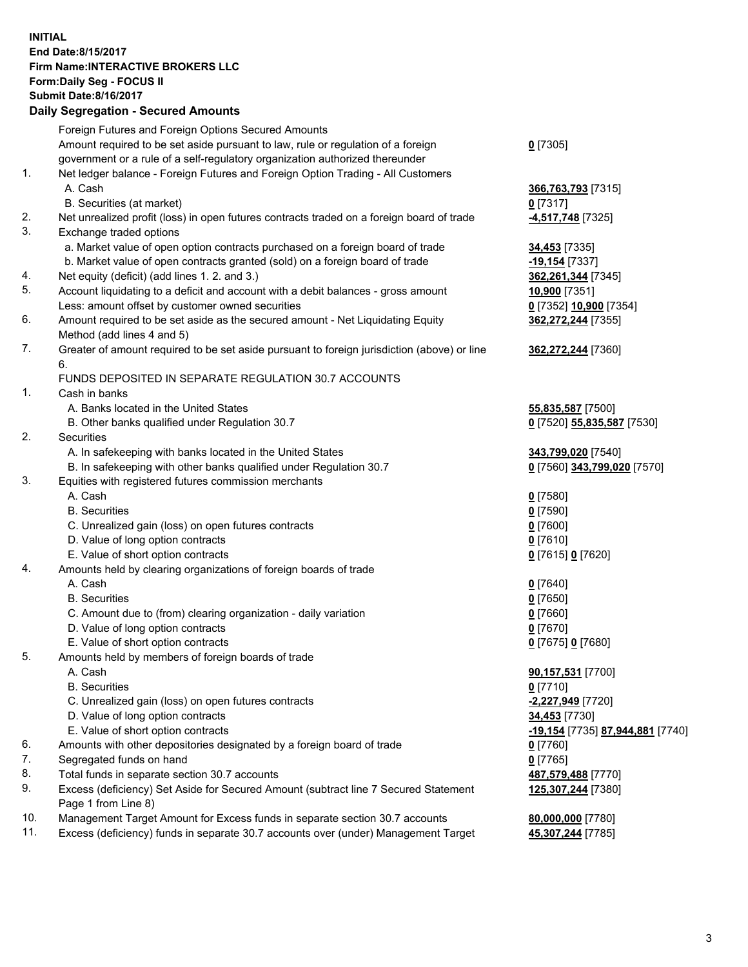## **INITIAL End Date:8/15/2017 Firm Name:INTERACTIVE BROKERS LLC Form:Daily Seg - FOCUS II Submit Date:8/16/2017 Daily Segregation - Secured Amounts**

|     | Dany Oogrogaach - Ocearea Amounta                                                                          |                                  |
|-----|------------------------------------------------------------------------------------------------------------|----------------------------------|
|     | Foreign Futures and Foreign Options Secured Amounts                                                        |                                  |
|     | Amount required to be set aside pursuant to law, rule or regulation of a foreign                           | $0$ [7305]                       |
|     | government or a rule of a self-regulatory organization authorized thereunder                               |                                  |
| 1.  | Net ledger balance - Foreign Futures and Foreign Option Trading - All Customers                            |                                  |
|     | A. Cash                                                                                                    | 366,763,793 [7315]               |
|     | B. Securities (at market)                                                                                  | $0$ [7317]                       |
| 2.  | Net unrealized profit (loss) in open futures contracts traded on a foreign board of trade                  | -4,517,748 [7325]                |
| 3.  | Exchange traded options                                                                                    |                                  |
|     | a. Market value of open option contracts purchased on a foreign board of trade                             | <b>34,453</b> [7335]             |
|     | b. Market value of open contracts granted (sold) on a foreign board of trade                               | -19,154 [7337]                   |
| 4.  | Net equity (deficit) (add lines 1.2. and 3.)                                                               | 362,261,344 [7345]               |
| 5.  | Account liquidating to a deficit and account with a debit balances - gross amount                          | 10,900 [7351]                    |
|     | Less: amount offset by customer owned securities                                                           | 0 [7352] 10,900 [7354]           |
| 6.  | Amount required to be set aside as the secured amount - Net Liquidating Equity                             | 362,272,244 [7355]               |
|     | Method (add lines 4 and 5)                                                                                 |                                  |
| 7.  | Greater of amount required to be set aside pursuant to foreign jurisdiction (above) or line                | 362,272,244 [7360]               |
|     | 6.                                                                                                         |                                  |
|     | FUNDS DEPOSITED IN SEPARATE REGULATION 30.7 ACCOUNTS                                                       |                                  |
| 1.  | Cash in banks                                                                                              |                                  |
|     | A. Banks located in the United States                                                                      | 55,835,587 [7500]                |
|     | B. Other banks qualified under Regulation 30.7                                                             | 0 [7520] 55,835,587 [7530]       |
| 2.  | Securities                                                                                                 |                                  |
|     | A. In safekeeping with banks located in the United States                                                  | 343,799,020 [7540]               |
|     | B. In safekeeping with other banks qualified under Regulation 30.7                                         | 0 [7560] 343,799,020 [7570]      |
| 3.  | Equities with registered futures commission merchants                                                      |                                  |
|     | A. Cash                                                                                                    | $0$ [7580]                       |
|     | <b>B.</b> Securities                                                                                       | $0$ [7590]                       |
|     | C. Unrealized gain (loss) on open futures contracts                                                        | $0$ [7600]                       |
|     | D. Value of long option contracts                                                                          | $0$ [7610]                       |
|     | E. Value of short option contracts                                                                         | 0 [7615] 0 [7620]                |
| 4.  | Amounts held by clearing organizations of foreign boards of trade                                          |                                  |
|     | A. Cash                                                                                                    | $0$ [7640]                       |
|     | <b>B.</b> Securities                                                                                       | $0$ [7650]                       |
|     | C. Amount due to (from) clearing organization - daily variation                                            | $0$ [7660]                       |
|     | D. Value of long option contracts                                                                          | $0$ [7670]                       |
|     | E. Value of short option contracts                                                                         | 0 [7675] 0 [7680]                |
| 5.  | Amounts held by members of foreign boards of trade                                                         |                                  |
|     | A. Cash                                                                                                    | 90,157,531 [7700]                |
|     | <b>B.</b> Securities                                                                                       | $0$ [7710]                       |
|     | C. Unrealized gain (loss) on open futures contracts                                                        | -2,227,949 [7720]                |
|     | D. Value of long option contracts                                                                          | 34,453 [7730]                    |
|     | E. Value of short option contracts                                                                         | -19,154 [7735] 87,944,881 [7740] |
| 6.  | Amounts with other depositories designated by a foreign board of trade                                     | $0$ [7760]                       |
| 7.  | Segregated funds on hand                                                                                   | $0$ [7765]                       |
| 8.  | Total funds in separate section 30.7 accounts                                                              | 487,579,488 [7770]               |
| 9.  | Excess (deficiency) Set Aside for Secured Amount (subtract line 7 Secured Statement<br>Page 1 from Line 8) | 125,307,244 [7380]               |
| 10. | Management Target Amount for Excess funds in separate section 30.7 accounts                                | 80,000,000 [7780]                |
| 11. | Excess (deficiency) funds in separate 30.7 accounts over (under) Management Target                         | 45,307,244 [7785]                |
|     |                                                                                                            |                                  |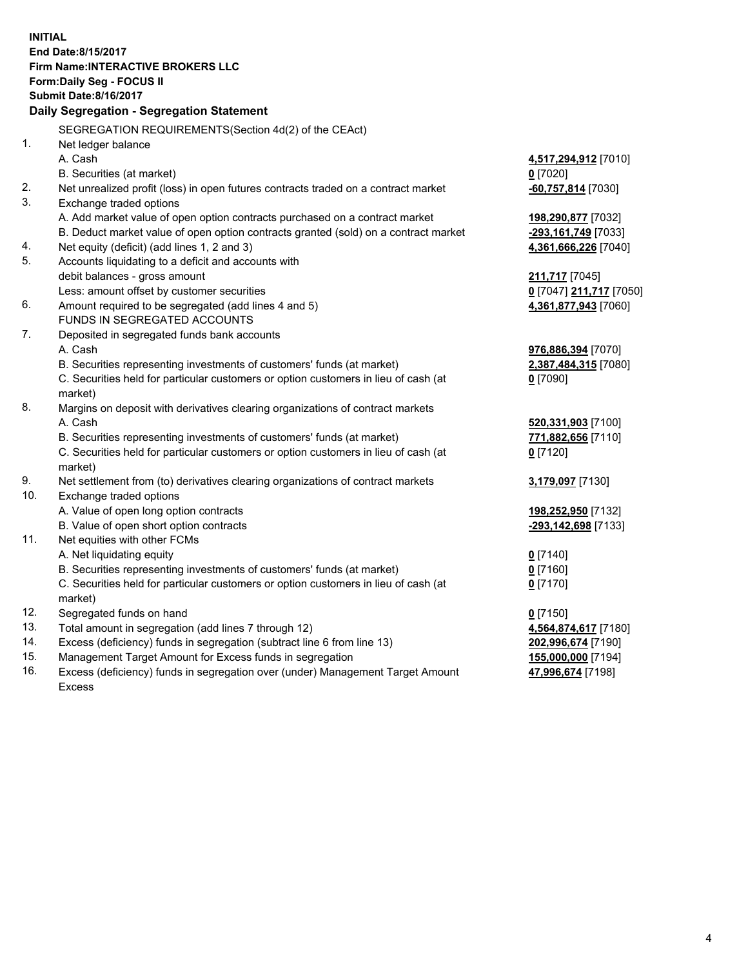**INITIAL End Date:8/15/2017 Firm Name:INTERACTIVE BROKERS LLC Form:Daily Seg - FOCUS II Submit Date:8/16/2017 Daily Segregation - Segregation Statement** SEGREGATION REQUIREMENTS(Section 4d(2) of the CEAct) 1. Net ledger balance A. Cash **4,517,294,912** [7010] B. Securities (at market) **0** [7020] 2. Net unrealized profit (loss) in open futures contracts traded on a contract market **-60,757,814** [7030] 3. Exchange traded options A. Add market value of open option contracts purchased on a contract market **198,290,877** [7032] B. Deduct market value of open option contracts granted (sold) on a contract market **-293,161,749** [7033] 4. Net equity (deficit) (add lines 1, 2 and 3) **4,361,666,226** [7040] 5. Accounts liquidating to a deficit and accounts with debit balances - gross amount **211,717** [7045] Less: amount offset by customer securities **0** [7047] **211,717** [7050] 6. Amount required to be segregated (add lines 4 and 5) **4,361,877,943** [7060] FUNDS IN SEGREGATED ACCOUNTS 7. Deposited in segregated funds bank accounts A. Cash **976,886,394** [7070] B. Securities representing investments of customers' funds (at market) **2,387,484,315** [7080] C. Securities held for particular customers or option customers in lieu of cash (at market) **0** [7090] 8. Margins on deposit with derivatives clearing organizations of contract markets A. Cash **520,331,903** [7100] B. Securities representing investments of customers' funds (at market) **771,882,656** [7110] C. Securities held for particular customers or option customers in lieu of cash (at market) **0** [7120] 9. Net settlement from (to) derivatives clearing organizations of contract markets **3,179,097** [7130] 10. Exchange traded options A. Value of open long option contracts **198,252,950** [7132] B. Value of open short option contracts **-293,142,698** [7133] 11. Net equities with other FCMs A. Net liquidating equity **0** [7140] B. Securities representing investments of customers' funds (at market) **0** [7160] C. Securities held for particular customers or option customers in lieu of cash (at market) **0** [7170] 12. Segregated funds on hand **0** [7150] 13. Total amount in segregation (add lines 7 through 12) **4,564,874,617** [7180] 14. Excess (deficiency) funds in segregation (subtract line 6 from line 13) **202,996,674** [7190] 15. Management Target Amount for Excess funds in segregation **155,000,000** [7194]

16. Excess (deficiency) funds in segregation over (under) Management Target Amount Excess

**47,996,674** [7198]